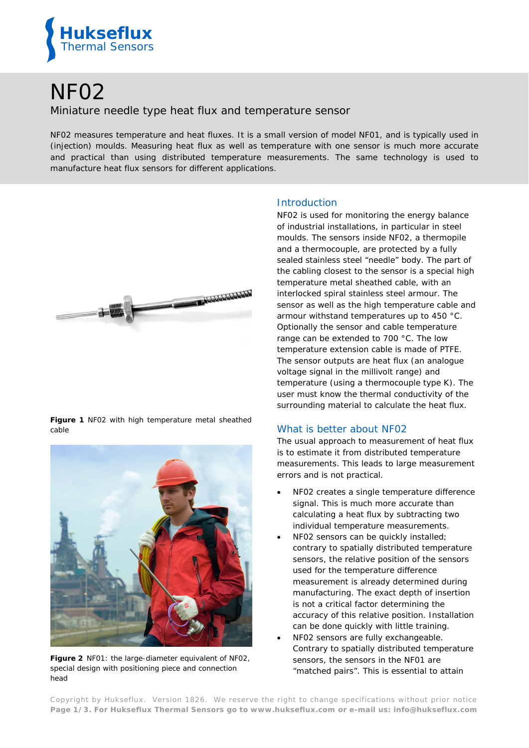

# NF02

## Miniature needle type heat flux and temperature sensor

*NF02 measures temperature and heat fluxes. It is a small version of model NF01, and is typically used in (injection) moulds. Measuring heat flux as well as temperature with one sensor is much more accurate and practical than using distributed temperature measurements. The same technology is used to manufacture heat flux sensors for different applications.*



**Figure 1** *NF02 with high temperature metal sheathed cable*



**Figure 2** *NF01: the large-diameter equivalent of NF02, special design with positioning piece and connection head*

### **Introduction**

NF02 is used for monitoring the energy balance of industrial installations, in particular in steel moulds. The sensors inside NF02, a thermopile and a thermocouple, are protected by a fully sealed stainless steel "needle" body. The part of the cabling closest to the sensor is a special high temperature metal sheathed cable, with an interlocked spiral stainless steel armour. The sensor as well as the high temperature cable and armour withstand temperatures up to 450 °C. Optionally the sensor and cable temperature range can be extended to 700 °C. The low temperature extension cable is made of PTFE. The sensor outputs are heat flux (an analogue voltage signal in the millivolt range) and temperature (using a thermocouple type K). The user must know the thermal conductivity of the surrounding material to calculate the heat flux.

#### What is better about NF02

The usual approach to measurement of heat flux is to estimate it from distributed temperature measurements. This leads to large measurement errors and is not practical.

- NF02 creates a single temperature difference signal. This is much more accurate than calculating a heat flux by subtracting two individual temperature measurements.
- NF02 sensors can be quickly installed; contrary to spatially distributed temperature sensors, the relative position of the sensors used for the temperature difference measurement is already determined during manufacturing. The exact depth of insertion is not a critical factor determining the accuracy of this relative position. Installation can be done quickly with little training.
- NF02 sensors are fully exchangeable. Contrary to spatially distributed temperature sensors, the sensors in the NF01 are "matched pairs". This is essential to attain

Copyright by Hukseflux. Version 1826. We reserve the right to change specifications without prior notice **Page 1/3. For Hukseflux Thermal Sensors go to [www.hukseflux.com](http://www.hukseflux.com/) or e-mail us: [info@hukseflux.com](mailto:info@hukseflux.com?subject=brochure)**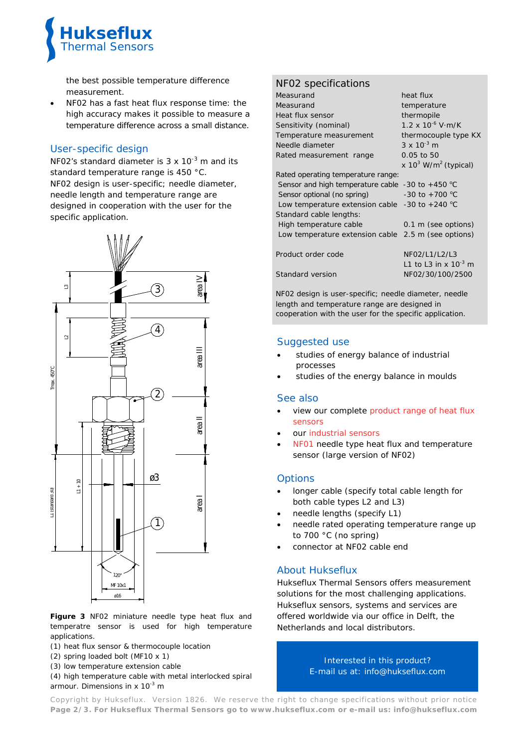

the best possible temperature difference measurement.

• NF02 has a fast heat flux response time: the high accuracy makes it possible to measure a temperature difference across a small distance.

## User-specific design

NF02's standard diameter is  $3 \times 10^{-3}$  m and its standard temperature range is 450 °C. NF02 design is user-specific; needle diameter, needle length and temperature range are designed in cooperation with the user for the specific application.



**Figure 3** *NF02 miniature needle type heat flux and temperatre sensor is used for high temperature applications.*

*(1) heat flux sensor & thermocouple location*

- *(2) spring loaded bolt (MF10 x 1)*
- *(3) low temperature extension cable*

*(4) high temperature cable with metal interlocked spiral armour. Dimensions in x 10-3 m*

## NF02 specifications

| Measurand                                                  | heat flux                                  |
|------------------------------------------------------------|--------------------------------------------|
| Measurand                                                  | temperature                                |
| Heat flux sensor                                           | thermopile                                 |
| Sensitivity (nominal)                                      | $1.2 \times 10^{-6}$ V·m/K                 |
| Temperature measurement                                    | thermocouple type KX                       |
| Needle diameter                                            | $3 \times 10^{-3}$ m                       |
| Rated measurement range                                    | 0.05 to 50                                 |
|                                                            | x $10^3$ W/m <sup>2</sup> (typical)        |
| Rated operating temperature range:                         |                                            |
| Sensor and high temperature cable -30 to +450 $^{\circ}$ C |                                            |
| Sensor optional (no spring)                                | $-30$ to $+700$ °C                         |
| Low temperature extension cable $-30$ to $+240$ °C         |                                            |
| Standard cable lengths:                                    |                                            |
| High temperature cable                                     | 0.1 m (see options)                        |
| Low temperature extension cable 2.5 m (see options)        |                                            |
| Product order code                                         | NF02/L1/L2/L3<br>L1 to L3 in x $10^{-3}$ m |
| Standard version                                           | NF02/30/100/2500                           |
|                                                            |                                            |

NF02 design is user-specific; needle diameter, needle length and temperature range are designed in cooperation with the user for the specific application.

#### Suggested use

- studies of energy balance of industrial processes
- studies of the energy balance in moulds

#### See also

- view our complete [product range of heat flux](http://www.hukseflux.com/product_group/heat-flux-sensors) [sensors](http://www.hukseflux.com/product_group/heat-flux-sensors)
- our [industrial sensors](http://www.hukseflux.com/sites/default/files/product_group_bi_file/hukseflux_industrial_heat_flux_sensors-v1505.pdf)
- [NF01](http://www.hukseflux.com/product/nf01) needle type heat flux and temperature sensor (large version of NF02)

#### **Options**

- longer cable (specify total cable length for both cable types L2 and L3)
- needle lengths (specify L1)
- needle rated operating temperature range up to 700 °C (no spring)
- connector at NF02 cable end

## About Hukseflux

Hukseflux Thermal Sensors offers measurement solutions for the most challenging applications. Hukseflux sensors, systems and services are offered worldwide via our office in Delft, the Netherlands and local distributors.

> Interested in this product? E-mail us at: [info@hukseflux.com](mailto:info@hukseflux.com?subject=brochure)

Copyright by Hukseflux. Version 1826. We reserve the right to change specifications without prior notice **Page 2/3. For Hukseflux Thermal Sensors go to [www.hukseflux.com](http://www.hukseflux.com/) or e-mail us: [info@hukseflux.com](mailto:info@hukseflux.com?subject=brochure)**